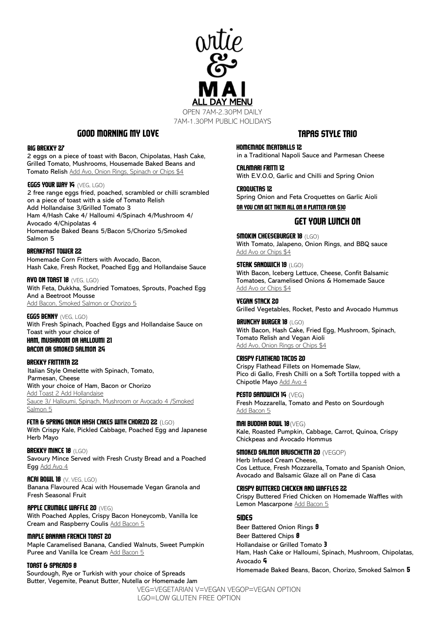

7AM-1.30PM PUBLIC HOLIDAYS

### Good MORNING my LOVE

### BIG BREKKY 27

2 eggs on a piece of toast with Bacon, Chipolatas, Hash Cake, Grilled Tomato, Mushrooms, Housemade Baked Beans and Tomato Relish Add Avo, Onion Rings, Spinach or Chips \$4

#### EGGS YOUR WAY 14 (VEG, LGO)

2 free range eggs fried, poached, scrambled or chilli scrambled on a piece of toast with a side of Tomato Relish Add Hollandaise 3/Grilled Tomato 3 Ham 4/Hash Cake 4/ Halloumi 4/Spinach 4/Mushroom 4/ Avocado 4/Chipolatas 4 Homemade Baked Beans 5/Bacon 5/Chorizo 5/Smoked

### BREAKFAST TOWER 22

Salmon 5

Homemade Corn Fritters with Avocado, Bacon, Hash Cake, Fresh Rocket, Poached Egg and Hollandaise Sauce

AVO ON TOAST 18 (VEG, LGO) With Feta, Dukkha, Sundried Tomatoes, Sprouts, Poached Egg And a Beetroot Mousse Add Bacon, Smoked Salmon or Chorizo 5

EGGS BENNY (VEG, LGO) With Fresh Spinach, Poached Eggs and Hollandaise Sauce on Toast with your choice of

### Ham, Mushroom or Halloumi 21 Bacon or Smoked Salmon 24

BREKKY FRITTATA 22

Italian Style Omelette with Spinach, Tomato, Parmesan, Cheese With your choice of Ham, Bacon or Chorizo Add Toast 2 Add Hollandaise Sauce 3/ Halloumi, Spinach, Mushroom or Avocado 4 /Smoked Salmon 5

### FETA & SPRING ONION HASH CAKES WITH CHORIZO 22 (LGO)

With Crispy Kale, Pickled Cabbage, Poached Egg and Japanese Herb Mayo

BREKKY MINCE 18 (LGO) Savoury Mince Served with Fresh Crusty Bread and a Poached Egg Add Avo 4

ACAI BOWL 18 (V, VEG, LGO) Banana Flavoured Acai with Housemade Vegan Granola and Fresh Seasonal Fruit

### APPLE CRUMBLE WAFFLE 20 (VEG)

With Poached Apples, Crispy Bacon Honeycomb, Vanilla Ice Cream and Raspberry Coulis Add Bacon 5

#### MAPLE BANANA FRENCH TOAST 20

Maple Caramelised Banana, Candied Walnuts, Sweet Pumpkin Puree and Vanilla Ice Cream Add Bacon 5

### Toast & spreads 8

Sourdough, Rye or Turkish with your choice of Spreads Butter, Vegemite, Peanut Butter, Nutella or Homemade Jam

# Tapas Style Trio

in a Traditional Napoli Sauce and Parmesan Cheese CALAMARI FRITTI 12

HOMEMADE MEATBALLS 12

With E.V.O.O, Garlic and Chilli and Spring Onion

CROQUETAS 12 Spring Onion and Feta Croquettes on Garlic Aioli Or you can get them all on a platter for \$30

## Get your lunch on

**SMOKIN CHEESEBURGER 18 (LGO)** With Tomato, Jalapeno, Onion Rings, and BBQ sauce Add Avo or Chips \$4

**STEAK SANDWICH 19 (LGO)** With Bacon, Iceberg Lettuce, Cheese, Confit Balsamic Tomatoes, Caramelised Onions & Homemade Sauce Add Avo or Chips \$4

VEGAN STACK 20 Grilled Vegetables, Rocket, Pesto and Avocado Hummus

BRUNCHY BURGER 18 (LGO) With Bacon, Hash Cake, Fried Egg, Mushroom, Spinach, Tomato Relish and Vegan Aioli Add Avo, Onion Rings or Chips \$4

CRISPY FLATHEAD TACOS 20

Crispy Flathead Fillets on Homemade Slaw, Pico di Gallo, Fresh Chilli on a Soft Tortilla topped with a Chipotle Mayo Add Avo 4

PESTO SANDWICH 14 (VEG) Fresh Mozzarella, Tomato and Pesto on Sourdough Add Bacon 5

Mai buddha bowl 18(VEG) Kale, Roasted Pumpkin, Cabbage, Carrot, Quinoa, Crispy Chickpeas and Avocado Hommus

Smoked salmon bruschetta 20 (VEGOP) Herb Infused Cream Cheese, Cos Lettuce, Fresh Mozzarella, Tomato and Spanish Onion, Avocado and Balsamic Glaze all on Pane di Casa

CRISPY BUTTERED CHICKEN AND WAFFLES 22 Crispy Buttered Fried Chicken on Homemade Waffles with Lemon Mascarpone Add Bacon 5

### SIDES

Beer Battered Onion Rings 9 Beer Battered Chips 8 Hollandaise or Grilled Tomato 3 Ham, Hash Cake or Halloumi, Spinach, Mushroom, Chipolatas, Avocado 4 Homemade Baked Beans, Bacon, Chorizo, Smoked Salmon 5

VEG=VEGETARIAN V=VEGAN VEGOP=VEGAN OPTION LGO=LOW GLUTEN FREE OPTION